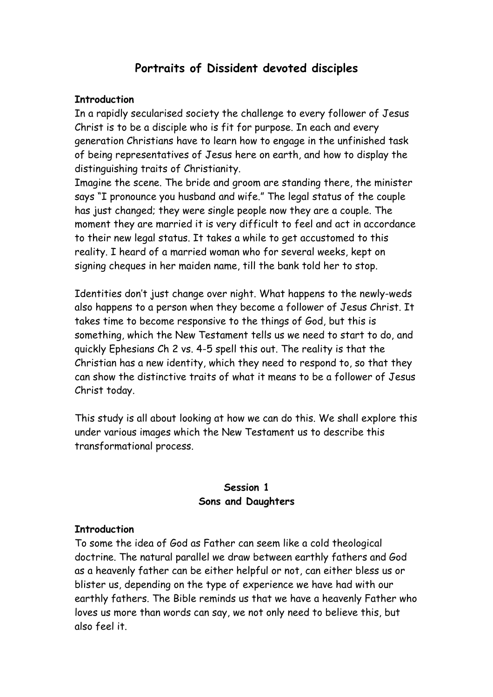# **Portraits of Dissident devoted disciples**

## **Introduction**

In a rapidly secularised society the challenge to every follower of Jesus Christ is to be a disciple who is fit for purpose. In each and every generation Christians have to learn how to engage in the unfinished task of being representatives of Jesus here on earth, and how to display the distinguishing traits of Christianity.

Imagine the scene. The bride and groom are standing there, the minister says "I pronounce you husband and wife." The legal status of the couple has just changed; they were single people now they are a couple. The moment they are married it is very difficult to feel and act in accordance to their new legal status. It takes a while to get accustomed to this reality. I heard of a married woman who for several weeks, kept on signing cheques in her maiden name, till the bank told her to stop.

Identities don't just change over night. What happens to the newly-weds also happens to a person when they become a follower of Jesus Christ. It takes time to become responsive to the things of God, but this is something, which the New Testament tells us we need to start to do, and quickly Ephesians Ch 2 vs. 4-5 spell this out. The reality is that the Christian has a new identity, which they need to respond to, so that they can show the distinctive traits of what it means to be a follower of Jesus Christ today.

This study is all about looking at how we can do this. We shall explore this under various images which the New Testament us to describe this transformational process.

## **Session 1 Sons and Daughters**

## **Introduction**

To some the idea of God as Father can seem like a cold theological doctrine. The natural parallel we draw between earthly fathers and God as a heavenly father can be either helpful or not, can either bless us or blister us, depending on the type of experience we have had with our earthly fathers. The Bible reminds us that we have a heavenly Father who loves us more than words can say, we not only need to believe this, but also feel it.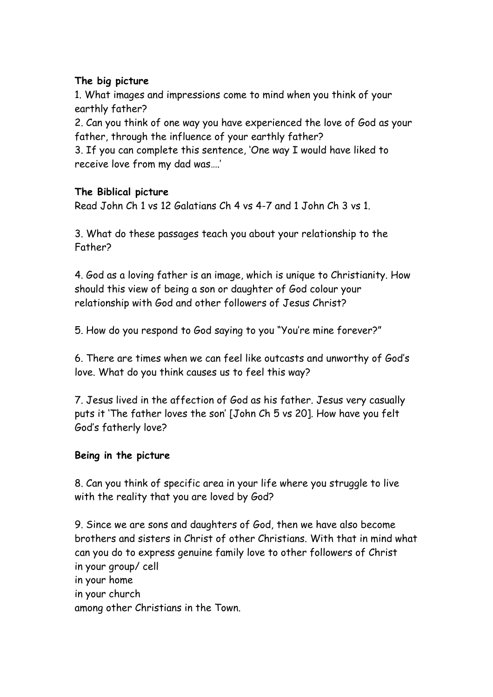## **The big picture**

1. What images and impressions come to mind when you think of your earthly father?

2. Can you think of one way you have experienced the love of God as your father, through the influence of your earthly father?

3. If you can complete this sentence, 'One way I would have liked to receive love from my dad was….'

## **The Biblical picture**

Read John Ch 1 vs 12 Galatians Ch 4 vs 4-7 and 1 John Ch 3 vs 1.

3. What do these passages teach you about your relationship to the Father?

4. God as a loving father is an image, which is unique to Christianity. How should this view of being a son or daughter of God colour your relationship with God and other followers of Jesus Christ?

5. How do you respond to God saying to you "You're mine forever?"

6. There are times when we can feel like outcasts and unworthy of God's love. What do you think causes us to feel this way?

7. Jesus lived in the affection of God as his father. Jesus very casually puts it 'The father loves the son' [John Ch 5 vs 20]. How have you felt God's fatherly love?

## **Being in the picture**

8. Can you think of specific area in your life where you struggle to live with the reality that you are loved by God?

9. Since we are sons and daughters of God, then we have also become brothers and sisters in Christ of other Christians. With that in mind what can you do to express genuine family love to other followers of Christ in your group/ cell in your home in your church among other Christians in the Town.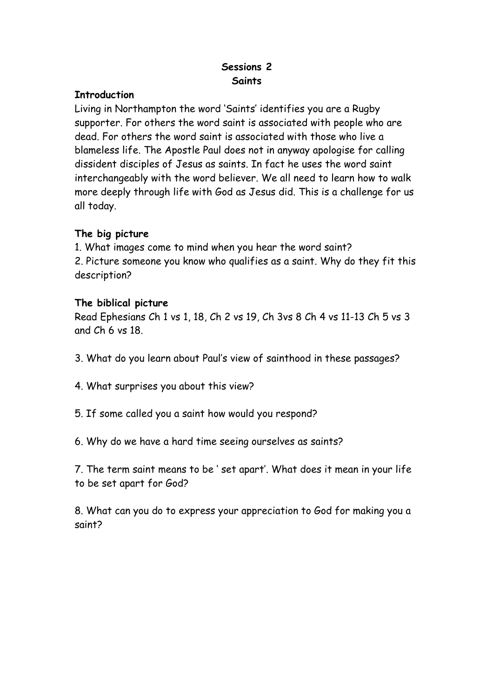## **Sessions 2 Saints**

## **Introduction**

Living in Northampton the word 'Saints' identifies you are a Rugby supporter. For others the word saint is associated with people who are dead. For others the word saint is associated with those who live a blameless life. The Apostle Paul does not in anyway apologise for calling dissident disciples of Jesus as saints. In fact he uses the word saint interchangeably with the word believer. We all need to learn how to walk more deeply through life with God as Jesus did. This is a challenge for us all today.

## **The big picture**

1. What images come to mind when you hear the word saint? 2. Picture someone you know who qualifies as a saint. Why do they fit this description?

## **The biblical picture**

Read Ephesians Ch 1 vs 1, 18, Ch 2 vs 19, Ch 3vs 8 Ch 4 vs 11-13 Ch 5 vs 3 and Ch 6 vs 18.

- 3. What do you learn about Paul's view of sainthood in these passages?
- 4. What surprises you about this view?
- 5. If some called you a saint how would you respond?
- 6. Why do we have a hard time seeing ourselves as saints?

7. The term saint means to be ' set apart'. What does it mean in your life to be set apart for God?

8. What can you do to express your appreciation to God for making you a saint?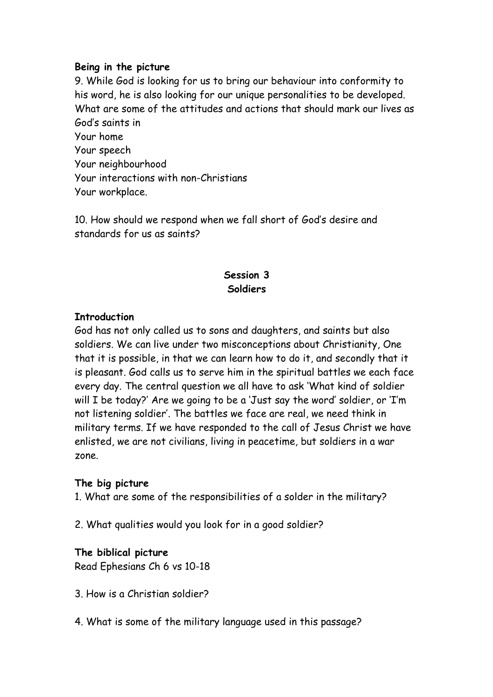## **Being in the picture**

9. While God is looking for us to bring our behaviour into conformity to his word, he is also looking for our unique personalities to be developed. What are some of the attitudes and actions that should mark our lives as God's saints in Your home Your speech Your neighbourhood Your interactions with non-Christians Your workplace.

10. How should we respond when we fall short of God's desire and standards for us as saints?

## **Session 3 Soldiers**

## **Introduction**

God has not only called us to sons and daughters, and saints but also soldiers. We can live under two misconceptions about Christianity, One that it is possible, in that we can learn how to do it, and secondly that it is pleasant. God calls us to serve him in the spiritual battles we each face every day. The central question we all have to ask 'What kind of soldier will I be today?' Are we going to be a 'Just say the word' soldier, or 'I'm not listening soldier'. The battles we face are real, we need think in military terms. If we have responded to the call of Jesus Christ we have enlisted, we are not civilians, living in peacetime, but soldiers in a war zone.

## **The big picture**

1. What are some of the responsibilities of a solder in the military?

2. What qualities would you look for in a good soldier?

## **The biblical picture**

Read Ephesians Ch 6 vs 10-18

- 3. How is a Christian soldier?
- 4. What is some of the military language used in this passage?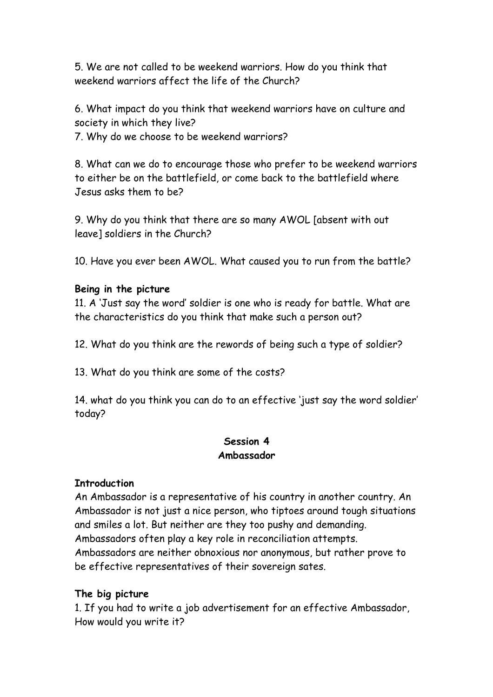5. We are not called to be weekend warriors. How do you think that weekend warriors affect the life of the Church?

6. What impact do you think that weekend warriors have on culture and society in which they live?

7. Why do we choose to be weekend warriors?

8. What can we do to encourage those who prefer to be weekend warriors to either be on the battlefield, or come back to the battlefield where Jesus asks them to be?

9. Why do you think that there are so many AWOL [absent with out leave] soldiers in the Church?

10. Have you ever been AWOL. What caused you to run from the battle?

## **Being in the picture**

11. A 'Just say the word' soldier is one who is ready for battle. What are the characteristics do you think that make such a person out?

12. What do you think are the rewords of being such a type of soldier?

13. What do you think are some of the costs?

14. what do you think you can do to an effective 'just say the word soldier' today?

## **Session 4 Ambassador**

## **Introduction**

An Ambassador is a representative of his country in another country. An Ambassador is not just a nice person, who tiptoes around tough situations and smiles a lot. But neither are they too pushy and demanding. Ambassadors often play a key role in reconciliation attempts. Ambassadors are neither obnoxious nor anonymous, but rather prove to be effective representatives of their sovereign sates.

## **The big picture**

1. If you had to write a job advertisement for an effective Ambassador, How would you write it?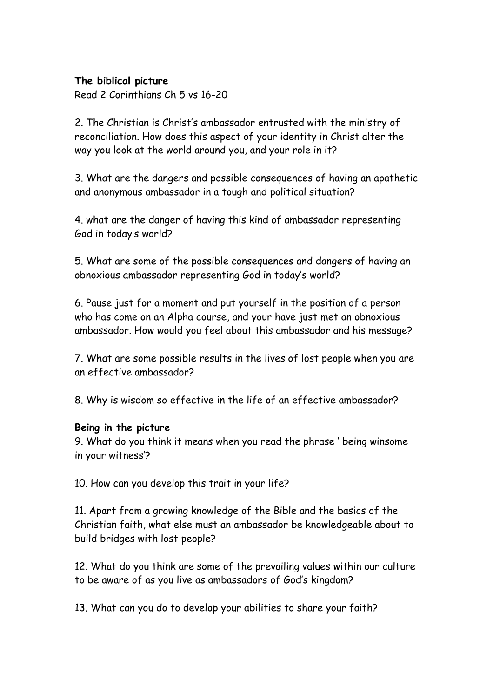## **The biblical picture**

Read 2 Corinthians Ch 5 vs 16-20

2. The Christian is Christ's ambassador entrusted with the ministry of reconciliation. How does this aspect of your identity in Christ alter the way you look at the world around you, and your role in it?

3. What are the dangers and possible consequences of having an apathetic and anonymous ambassador in a tough and political situation?

4. what are the danger of having this kind of ambassador representing God in today's world?

5. What are some of the possible consequences and dangers of having an obnoxious ambassador representing God in today's world?

6. Pause just for a moment and put yourself in the position of a person who has come on an Alpha course, and your have just met an obnoxious ambassador. How would you feel about this ambassador and his message?

7. What are some possible results in the lives of lost people when you are an effective ambassador?

8. Why is wisdom so effective in the life of an effective ambassador?

## **Being in the picture**

9. What do you think it means when you read the phrase ' being winsome in your witness'?

10. How can you develop this trait in your life?

11. Apart from a growing knowledge of the Bible and the basics of the Christian faith, what else must an ambassador be knowledgeable about to build bridges with lost people?

12. What do you think are some of the prevailing values within our culture to be aware of as you live as ambassadors of God's kingdom?

13. What can you do to develop your abilities to share your faith?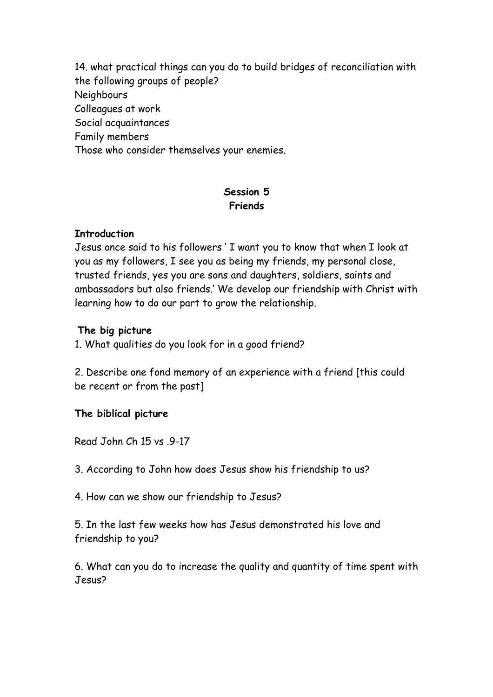14. what practical things can you do to build bridges of reconciliation with the following groups of people? Neighbours Colleagues at work Social acquaintances Family members Those who consider themselves your enemies.

## **Session 5 Friends**

## **Introduction**

Jesus once said to his followers ' I want you to know that when I look at you as my followers, I see you as being my friends, my personal close, trusted friends, yes you are sons and daughters, soldiers, saints and ambassadors but also friends.' We develop our friendship with Christ with learning how to do our part to grow the relationship.

## **The big picture**

1. What qualities do you look for in a good friend?

2. Describe one fond memory of an experience with a friend [this could be recent or from the past]

## **The biblical picture**

Read John Ch 15 vs 9-17

3. According to John how does Jesus show his friendship to us?

4. How can we show our friendship to Jesus?

5. In the last few weeks how has Jesus demonstrated his love and friendship to you?

6. What can you do to increase the quality and quantity of time spent with Jesus?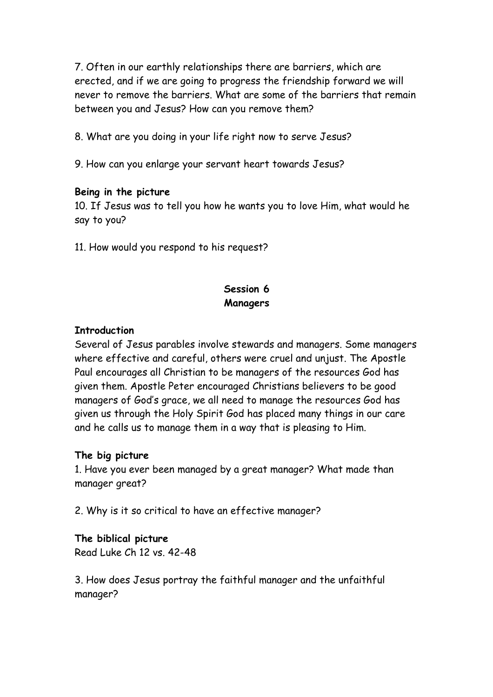7. Often in our earthly relationships there are barriers, which are erected, and if we are going to progress the friendship forward we will never to remove the barriers. What are some of the barriers that remain between you and Jesus? How can you remove them?

8. What are you doing in your life right now to serve Jesus?

9. How can you enlarge your servant heart towards Jesus?

#### **Being in the picture**

10. If Jesus was to tell you how he wants you to love Him, what would he say to you?

11. How would you respond to his request?

## **Session 6 Managers**

#### **Introduction**

Several of Jesus parables involve stewards and managers. Some managers where effective and careful, others were cruel and unjust. The Apostle Paul encourages all Christian to be managers of the resources God has given them. Apostle Peter encouraged Christians believers to be good managers of God's grace, we all need to manage the resources God has given us through the Holy Spirit God has placed many things in our care and he calls us to manage them in a way that is pleasing to Him.

## **The big picture**

1. Have you ever been managed by a great manager? What made than manager great?

2. Why is it so critical to have an effective manager?

## **The biblical picture**

Read Luke Ch 12 vs. 42-48

3. How does Jesus portray the faithful manager and the unfaithful manager?